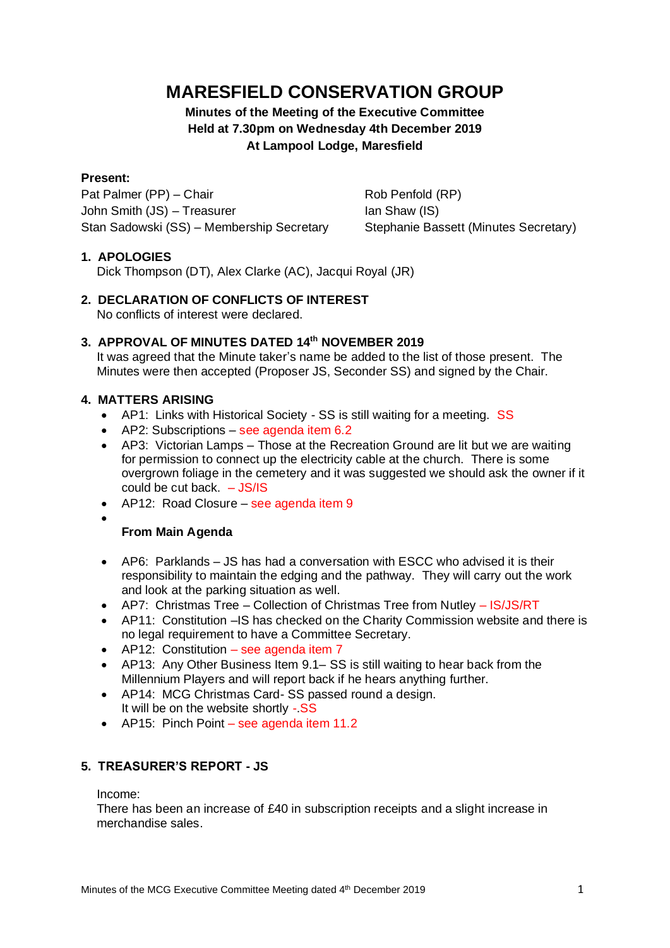# **MARESFIELD CONSERVATION GROUP**

# **Minutes of the Meeting of the Executive Committee Held at 7.30pm on Wednesday 4th December 2019 At Lampool Lodge, Maresfield**

#### **Present:**

Pat Palmer (PP) – Chair Rob Penfold (RP) John Smith (JS) – Treasurer Ian Shaw (IS) Stan Sadowski (SS) – Membership Secretary Stephanie Bassett (Minutes Secretary)

### **1. APOLOGIES**

Dick Thompson (DT), Alex Clarke (AC), Jacqui Royal (JR)

**2. DECLARATION OF CONFLICTS OF INTEREST** No conflicts of interest were declared.

### **3. APPROVAL OF MINUTES DATED 14th NOVEMBER 2019**

It was agreed that the Minute taker's name be added to the list of those present. The Minutes were then accepted (Proposer JS, Seconder SS) and signed by the Chair.

#### **4. MATTERS ARISING**

- AP1: Links with Historical Society SS is still waiting for a meeting. SS
- AP2: Subscriptions see agenda item 6.2
- AP3: Victorian Lamps Those at the Recreation Ground are lit but we are waiting for permission to connect up the electricity cable at the church. There is some overgrown foliage in the cemetery and it was suggested we should ask the owner if it could be cut back. – JS/IS
- AP12: Road Closure see agenda item 9
- •

### **From Main Agenda**

- AP6: Parklands JS has had a conversation with ESCC who advised it is their responsibility to maintain the edging and the pathway. They will carry out the work and look at the parking situation as well.
- AP7: Christmas Tree Collection of Christmas Tree from Nutley IS/JS/RT
- AP11: Constitution –IS has checked on the Charity Commission website and there is no legal requirement to have a Committee Secretary.
- AP12: Constitution see agenda item 7
- AP13: Any Other Business Item 9.1– SS is still waiting to hear back from the Millennium Players and will report back if he hears anything further.
- AP14: MCG Christmas Card- SS passed round a design. It will be on the website shortly -.SS
- AP15: Pinch Point see agenda item 11.2

### **5. TREASURER'S REPORT - JS**

Income:

There has been an increase of £40 in subscription receipts and a slight increase in merchandise sales.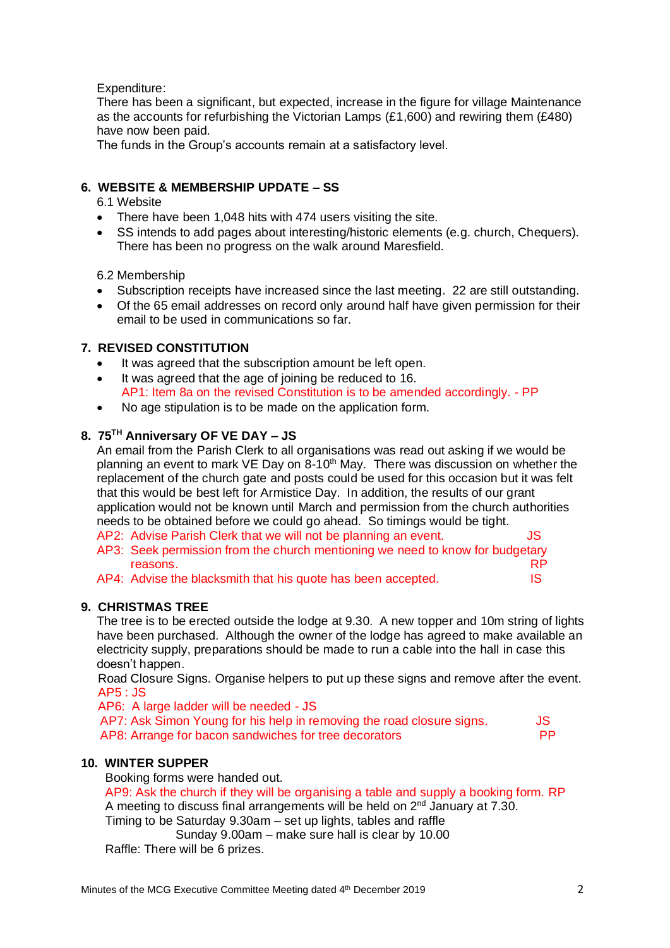Expenditure:

There has been a significant, but expected, increase in the figure for village Maintenance as the accounts for refurbishing the Victorian Lamps (£1,600) and rewiring them (£480) have now been paid.

The funds in the Group's accounts remain at a satisfactory level.

## **6. WEBSITE & MEMBERSHIP UPDATE – SS**

- 6.1 Website
- There have been 1,048 hits with 474 users visiting the site.
- SS intends to add pages about interesting/historic elements (e.g. church, Chequers). There has been no progress on the walk around Maresfield.

### 6.2 Membership

- Subscription receipts have increased since the last meeting. 22 are still outstanding.
- Of the 65 email addresses on record only around half have given permission for their email to be used in communications so far.

## **7. REVISED CONSTITUTION**

- It was agreed that the subscription amount be left open.
- It was agreed that the age of joining be reduced to 16. AP1: Item 8a on the revised Constitution is to be amended accordingly. - PP
- No age stipulation is to be made on the application form.

## **8. 75TH Anniversary OF VE DAY – JS**

An email from the Parish Clerk to all organisations was read out asking if we would be planning an event to mark VE Day on  $8-10<sup>th</sup>$  May. There was discussion on whether the replacement of the church gate and posts could be used for this occasion but it was felt that this would be best left for Armistice Day. In addition, the results of our grant application would not be known until March and permission from the church authorities needs to be obtained before we could go ahead. So timings would be tight.

AP2: Advise Parish Clerk that we will not be planning an event. AP3: Seek permission from the church mentioning we need to know for budgetary reasons. The results of the contract of the contract of the contract of the contract of the contract of the contract of the contract of the contract of the contract of the contract of the contract of the contract of the co

AP4: Advise the blacksmith that his quote has been accepted. IS

### **9. CHRISTMAS TREE**

The tree is to be erected outside the lodge at 9.30. A new topper and 10m string of lights have been purchased. Although the owner of the lodge has agreed to make available an electricity supply, preparations should be made to run a cable into the hall in case this doesn't happen.

 Road Closure Signs. Organise helpers to put up these signs and remove after the event. AP5 : JS

AP6: A large ladder will be needed - JS

| AP7: Ask Simon Young for his help in removing the road closure signs.<br>AP8: Arrange for bacon sandwiches for tree decorators | JS.       |
|--------------------------------------------------------------------------------------------------------------------------------|-----------|
|                                                                                                                                | <b>PP</b> |

### **10. WINTER SUPPER**

Booking forms were handed out. AP9: Ask the church if they will be organising a table and supply a booking form. RP A meeting to discuss final arrangements will be held on 2<sup>nd</sup> January at 7.30. Timing to be Saturday 9.30am – set up lights, tables and raffle Sunday 9.00am – make sure hall is clear by 10.00 Raffle: There will be 6 prizes.